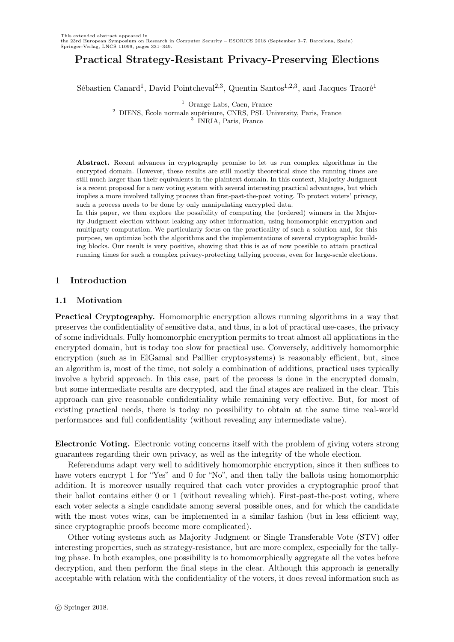# Practical Strategy-Resistant Privacy-Preserving Elections

Sébastien Canard<sup>1</sup>, David Pointcheval<sup>2,3</sup>, Quentin Santos<sup>1,2,3</sup>, and Jacques Traoré<sup>1</sup>

<sup>1</sup> Orange Labs, Caen, France <sup>2</sup> DIENS, École normale supérieure, CNRS, PSL University, Paris, France 3 INRIA, Paris, France

Abstract. Recent advances in cryptography promise to let us run complex algorithms in the encrypted domain. However, these results are still mostly theoretical since the running times are still much larger than their equivalents in the plaintext domain. In this context, Majority Judgment is a recent proposal for a new voting system with several interesting practical advantages, but which implies a more involved tallying process than first-past-the-post voting. To protect voters' privacy, such a process needs to be done by only manipulating encrypted data.

In this paper, we then explore the possibility of computing the (ordered) winners in the Majority Judgment election without leaking any other information, using homomorphic encryption and multiparty computation. We particularly focus on the practicality of such a solution and, for this purpose, we optimize both the algorithms and the implementations of several cryptographic building blocks. Our result is very positive, showing that this is as of now possible to attain practical running times for such a complex privacy-protecting tallying process, even for large-scale elections.

## 1 Introduction

### 1.1 Motivation

Practical Cryptography. Homomorphic encryption allows running algorithms in a way that preserves the confidentiality of sensitive data, and thus, in a lot of practical use-cases, the privacy of some individuals. Fully homomorphic encryption permits to treat almost all applications in the encrypted domain, but is today too slow for practical use. Conversely, additively homomorphic encryption (such as in ElGamal and Paillier cryptosystems) is reasonably efficient, but, since an algorithm is, most of the time, not solely a combination of additions, practical uses typically involve a hybrid approach. In this case, part of the process is done in the encrypted domain, but some intermediate results are decrypted, and the final stages are realized in the clear. This approach can give reasonable confidentiality while remaining very effective. But, for most of existing practical needs, there is today no possibility to obtain at the same time real-world performances and full confidentiality (without revealing any intermediate value).

Electronic Voting. Electronic voting concerns itself with the problem of giving voters strong guarantees regarding their own privacy, as well as the integrity of the whole election.

Referendums adapt very well to additively homomorphic encryption, since it then suffices to have voters encrypt 1 for "Yes" and 0 for "No", and then tally the ballots using homomorphic addition. It is moreover usually required that each voter provides a cryptographic proof that their ballot contains either 0 or 1 (without revealing which). First-past-the-post voting, where each voter selects a single candidate among several possible ones, and for which the candidate with the most votes wins, can be implemented in a similar fashion (but in less efficient way, since cryptographic proofs become more complicated).

Other voting systems such as Majority Judgment or Single Transferable Vote (STV) offer interesting properties, such as strategy-resistance, but are more complex, especially for the tallying phase. In both examples, one possibility is to homomorphically aggregate all the votes before decryption, and then perform the final steps in the clear. Although this approach is generally acceptable with relation with the confidentiality of the voters, it does reveal information such as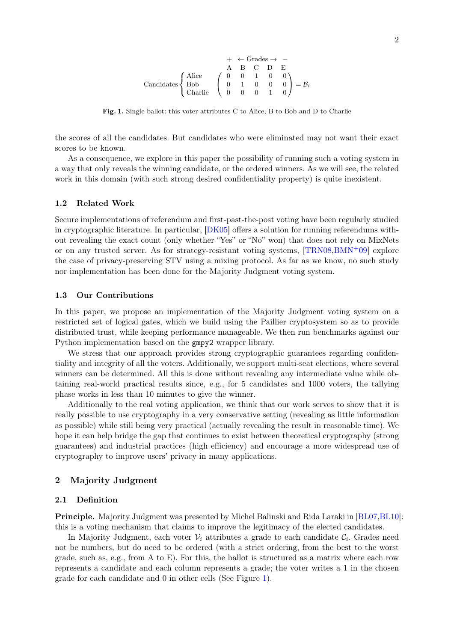$$
+ \leftarrow \text{Grades} \rightarrow -
$$
\n
$$
\text{A} \quad \text{B} \quad \text{C} \quad \text{D} \quad \text{E}
$$
\n
$$
\text{Candidates } \begin{cases} \text{Alice} \\ \text{Bob} \\ \text{Charlie} \end{cases} \quad \begin{pmatrix} 0 & 0 & 1 & 0 & 0 \\ 0 & 1 & 0 & 0 & 0 \\ 0 & 0 & 0 & 1 & 0 \end{pmatrix} = \mathcal{B}_i
$$

<span id="page-1-0"></span>Fig. 1. Single ballot: this voter attributes C to Alice, B to Bob and D to Charlie

the scores of all the candidates. But candidates who were eliminated may not want their exact scores to be known.

As a consequence, we explore in this paper the possibility of running such a voting system in a way that only reveals the winning candidate, or the ordered winners. As we will see, the related work in this domain (with such strong desired confidentiality property) is quite inexistent.

#### 1.2 Related Work

Secure implementations of referendum and first-past-the-post voting have been regularly studied in cryptographic literature. In particular, [\[DK05\]](#page-13-0) offers a solution for running referendums without revealing the exact count (only whether "Yes" or "No" won) that does not rely on MixNets or on any trusted server. As for strategy-resistant voting systems, [\[TRN08,](#page-13-1)[BMN](#page-13-2)+09] explore the case of privacy-preserving STV using a mixing protocol. As far as we know, no such study nor implementation has been done for the Majority Judgment voting system.

#### 1.3 Our Contributions

In this paper, we propose an implementation of the Majority Judgment voting system on a restricted set of logical gates, which we build using the Paillier cryptosystem so as to provide distributed trust, while keeping performance manageable. We then run benchmarks against our Python implementation based on the gmpy2 wrapper library.

We stress that our approach provides strong cryptographic guarantees regarding confidentiality and integrity of all the voters. Additionally, we support multi-seat elections, where several winners can be determined. All this is done without revealing any intermediate value while obtaining real-world practical results since, e.g., for 5 candidates and 1000 voters, the tallying phase works in less than 10 minutes to give the winner.

Additionally to the real voting application, we think that our work serves to show that it is really possible to use cryptography in a very conservative setting (revealing as little information as possible) while still being very practical (actually revealing the result in reasonable time). We hope it can help bridge the gap that continues to exist between theoretical cryptography (strong guarantees) and industrial practices (high efficiency) and encourage a more widespread use of cryptography to improve users' privacy in many applications.

#### 2 Majority Judgment

#### 2.1 Definition

Principle. Majority Judgment was presented by Michel Balinski and Rida Laraki in [\[BL07,](#page-13-3)[BL10\]](#page-13-4): this is a voting mechanism that claims to improve the legitimacy of the elected candidates.

In Majority Judgment, each voter  $V_i$  attributes a grade to each candidate  $\mathcal{C}_i$ . Grades need not be numbers, but do need to be ordered (with a strict ordering, from the best to the worst grade, such as, e.g., from A to E). For this, the ballot is structured as a matrix where each row represents a candidate and each column represents a grade; the voter writes a 1 in the chosen grade for each candidate and 0 in other cells (See Figure [1\)](#page-1-0).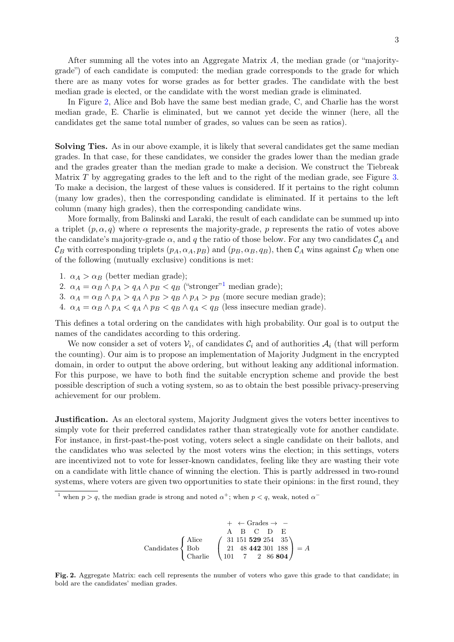After summing all the votes into an Aggregate Matrix A, the median grade (or "majoritygrade") of each candidate is computed: the median grade corresponds to the grade for which there are as many votes for worse grades as for better grades. The candidate with the best median grade is elected, or the candidate with the worst median grade is eliminated.

In Figure [2,](#page-2-0) Alice and Bob have the same best median grade, C, and Charlie has the worst median grade, E. Charlie is eliminated, but we cannot yet decide the winner (here, all the candidates get the same total number of grades, so values can be seen as ratios).

Solving Ties. As in our above example, it is likely that several candidates get the same median grades. In that case, for these candidates, we consider the grades lower than the median grade and the grades greater than the median grade to make a decision. We construct the Tiebreak Matrix T by aggregating grades to the left and to the right of the median grade, see Figure [3.](#page-3-0) To make a decision, the largest of these values is considered. If it pertains to the right column (many low grades), then the corresponding candidate is eliminated. If it pertains to the left column (many high grades), then the corresponding candidate wins.

More formally, from Balinski and Laraki, the result of each candidate can be summed up into a triplet  $(p, \alpha, q)$  where  $\alpha$  represents the majority-grade, p represents the ratio of votes above the candidate's majority-grade  $\alpha$ , and q the ratio of those below. For any two candidates  $\mathcal{C}_A$  and  $\mathcal{C}_B$  with corresponding triplets  $(p_A, \alpha_A, p_B)$  and  $(p_B, \alpha_B, q_B)$ , then  $\mathcal{C}_A$  wins against  $\mathcal{C}_B$  when one of the following (mutually exclusive) conditions is met:

1.  $\alpha_A > \alpha_B$  (better median grade);

- 2.  $\alpha_A = \alpha_B \wedge p_A > q_A \wedge p_B < q_B$  ("stronger"<sup>[1](#page-2-1)</sup> median grade);
- 3.  $\alpha_A = \alpha_B \wedge p_A > q_A \wedge p_B > q_B \wedge p_A > p_B$  (more secure median grade);
- 4.  $\alpha_A = \alpha_B \wedge p_A < q_A \wedge p_B < q_B \wedge q_A < q_B$  (less insecure median grade).

This defines a total ordering on the candidates with high probability. Our goal is to output the names of the candidates according to this ordering.

We now consider a set of voters  $\mathcal{V}_i$ , of candidates  $\mathcal{C}_i$  and of authorities  $\mathcal{A}_i$  (that will perform the counting). Our aim is to propose an implementation of Majority Judgment in the encrypted domain, in order to output the above ordering, but without leaking any additional information. For this purpose, we have to both find the suitable encryption scheme and provide the best possible description of such a voting system, so as to obtain the best possible privacy-preserving achievement for our problem.

**Justification.** As an electoral system, Majority Judgment gives the voters better incentives to simply vote for their preferred candidates rather than strategically vote for another candidate. For instance, in first-past-the-post voting, voters select a single candidate on their ballots, and the candidates who was selected by the most voters wins the election; in this settings, voters are incentivized not to vote for lesser-known candidates, feeling like they are wasting their vote on a candidate with little chance of winning the election. This is partly addressed in two-round systems, where voters are given two opportunities to state their opinions: in the first round, they

$$
+ \leftarrow \text{Grades} \rightarrow -
$$
\nA B C D E\n  
\nC  
\nAndicates\n
$$
\begin{cases}\n\text{Alice} \\
\text{Bob} \\
\text{Charlie}\n\end{cases}\n\begin{pmatrix}\n31 151 529 254 & 35 \\
21 48 442 301 188 \\
101 7 2 86 804\n\end{pmatrix} = A
$$

<span id="page-2-0"></span>Fig. 2. Aggregate Matrix: each cell represents the number of voters who gave this grade to that candidate; in bold are the candidates' median grades.

<span id="page-2-1"></span><sup>&</sup>lt;sup>1</sup> when  $p > q$ , the median grade is strong and noted  $\alpha^+$ ; when  $p < q$ , weak, noted  $\alpha^-$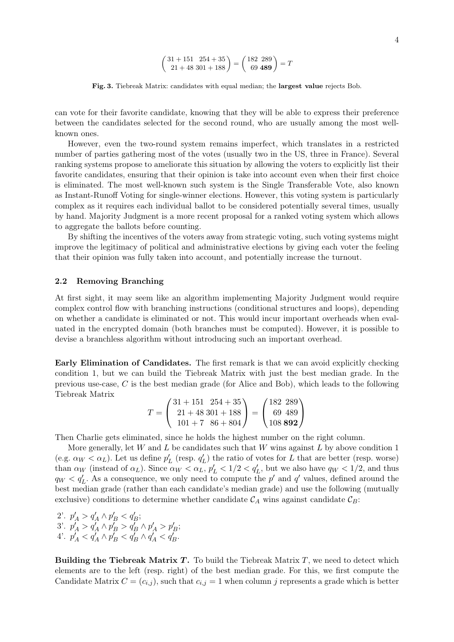$$
\begin{pmatrix} 31 + 151 & 254 + 35 \ 21 + 48 & 301 + 188 \end{pmatrix} = \begin{pmatrix} 182 & 289 \ 69 & 489 \end{pmatrix} = T
$$

<span id="page-3-0"></span>Fig. 3. Tiebreak Matrix: candidates with equal median; the largest value rejects Bob.

can vote for their favorite candidate, knowing that they will be able to express their preference between the candidates selected for the second round, who are usually among the most wellknown ones.

However, even the two-round system remains imperfect, which translates in a restricted number of parties gathering most of the votes (usually two in the US, three in France). Several ranking systems propose to ameliorate this situation by allowing the voters to explicitly list their favorite candidates, ensuring that their opinion is take into account even when their first choice is eliminated. The most well-known such system is the Single Transferable Vote, also known as Instant-Runoff Voting for single-winner elections. However, this voting system is particularly complex as it requires each individual ballot to be considered potentially several times, usually by hand. Majority Judgment is a more recent proposal for a ranked voting system which allows to aggregate the ballots before counting.

By shifting the incentives of the voters away from strategic voting, such voting systems might improve the legitimacy of political and administrative elections by giving each voter the feeling that their opinion was fully taken into account, and potentially increase the turnout.

### <span id="page-3-1"></span>2.2 Removing Branching

At first sight, it may seem like an algorithm implementing Majority Judgment would require complex control flow with branching instructions (conditional structures and loops), depending on whether a candidate is eliminated or not. This would incur important overheads when evaluated in the encrypted domain (both branches must be computed). However, it is possible to devise a branchless algorithm without introducing such an important overhead.

Early Elimination of Candidates. The first remark is that we can avoid explicitly checking condition 1, but we can build the Tiebreak Matrix with just the best median grade. In the previous use-case,  $C$  is the best median grade (for Alice and Bob), which leads to the following Tiebreak Matrix

$$
T = \begin{pmatrix} 31 + 151 & 254 + 35 \\ 21 + 48 & 301 + 188 \\ 101 + 7 & 86 + 804 \end{pmatrix} = \begin{pmatrix} 182 & 289 \\ 69 & 489 \\ 108 & \mathbf{892} \end{pmatrix}
$$

Then Charlie gets eliminated, since he holds the highest number on the right column.

More generally, let W and L be candidates such that W wins against L by above condition 1 (e.g.  $\alpha_W < \alpha_L$ ). Let us define  $p'_L$  (resp.  $q'_L$ ) the ratio of votes for L that are better (resp. worse) than  $\alpha_W$  (instead of  $\alpha_L$ ). Since  $\alpha_W < \alpha_L$ ,  $p'_L < 1/2 < q'_L$ , but we also have  $q_W < 1/2$ , and thus  $q_W < q'_L$ . As a consequence, we only need to compute the p' and q' values, defined around the best median grade (rather than each candidate's median grade) and use the following (mutually exclusive) conditions to determine whether candidate  $\mathcal{C}_A$  wins against candidate  $\mathcal{C}_B$ :

2'.  $p'_A > q'_A \wedge p'_B < q'_B;$ 3'.  $p'_A > q'_A \wedge p'_B > q'_B \wedge p'_A > p'_B;$ 4'.  $p'_A < q'_A \wedge p'_B < q'_B \wedge q'_A < q'_B$ .

Building the Tiebreak Matrix  $T$ . To build the Tiebreak Matrix  $T$ , we need to detect which elements are to the left (resp. right) of the best median grade. For this, we first compute the Candidate Matrix  $C = (c_{i,j})$ , such that  $c_{i,j} = 1$  when column j represents a grade which is better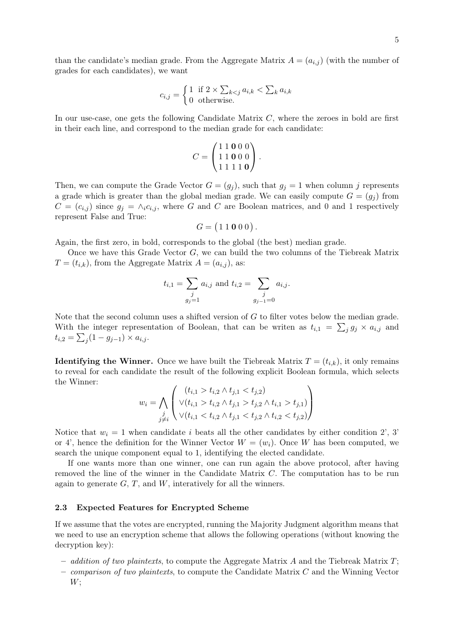5

than the candidate's median grade. From the Aggregate Matrix  $A = (a_{i,j})$  (with the number of grades for each candidates), we want

$$
c_{i,j} = \begin{cases} 1 & \text{if } 2 \times \sum_{k < j} a_{i,k} < \sum_k a_{i,k} \\ 0 & \text{otherwise.} \end{cases}
$$

In our use-case, one gets the following Candidate Matrix C, where the zeroes in bold are first in their each line, and correspond to the median grade for each candidate:

$$
C = \begin{pmatrix} 1 & 1 & 0 & 0 & 0 \\ 1 & 1 & 0 & 0 & 0 \\ 1 & 1 & 1 & 1 & 0 \end{pmatrix}.
$$

Then, we can compute the Grade Vector  $G = (g_i)$ , such that  $g_i = 1$  when column j represents a grade which is greater than the global median grade. We can easily compute  $G = (g_i)$  from  $C = (c_{i,j})$  since  $g_j = \wedge_i c_{i,j}$ , where G and C are Boolean matrices, and 0 and 1 respectively represent False and True:

$$
G = (1 1 0 0 0).
$$

Again, the first zero, in bold, corresponds to the global (the best) median grade.

Once we have this Grade Vector  $G$ , we can build the two columns of the Tiebreak Matrix  $T = (t_{i,k})$ , from the Aggregate Matrix  $A = (a_{i,j})$ , as:

$$
t_{i,1} = \sum_{\substack{j \\ g_j=1}} a_{i,j}
$$
 and  $t_{i,2} = \sum_{\substack{j \\ g_{j-1}=0}} a_{i,j}$ .

Note that the second column uses a shifted version of G to filter votes below the median grade. With the integer representation of Boolean, that can be writen as  $t_{i,1} = \sum_j g_j \times a_{i,j}$  and  $t_{i,2} = \sum_j (1 - g_{j-1}) \times a_{i,j}.$ 

**Identifying the Winner.** Once we have built the Tiebreak Matrix  $T = (t_{i,k})$ , it only remains to reveal for each candidate the result of the following explicit Boolean formula, which selects the Winner:

$$
w_i = \bigwedge_{j \neq i} \begin{pmatrix} (t_{i,1} > t_{i,2} \land t_{j,1} < t_{j,2}) \\ \lor (t_{i,1} > t_{i,2} \land t_{j,1} > t_{j,2} \land t_{i,1} > t_{j,1}) \\ \lor (t_{i,1} < t_{i,2} \land t_{j,1} < t_{j,2} \land t_{i,2} < t_{j,2}) \end{pmatrix}
$$

Notice that  $w_i = 1$  when candidate i beats all the other candidates by either condition 2', 3' or 4', hence the definition for the Winner Vector  $W = (w_i)$ . Once W has been computed, we search the unique component equal to 1, identifying the elected candidate.

If one wants more than one winner, one can run again the above protocol, after having removed the line of the winner in the Candidate Matrix C. The computation has to be run again to generate  $G, T$ , and  $W$ , interatively for all the winners.

#### <span id="page-4-0"></span>2.3 Expected Features for Encrypted Scheme

If we assume that the votes are encrypted, running the Majority Judgment algorithm means that we need to use an encryption scheme that allows the following operations (without knowing the decryption key):

- $-$  addition of two plaintexts, to compute the Aggregate Matrix A and the Tiebreak Matrix T;
- comparison of two plaintexts, to compute the Candidate Matrix  $C$  and the Winning Vector  $W:$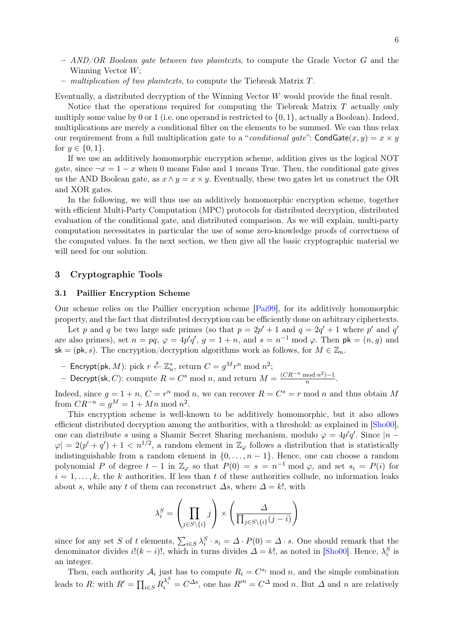- $-$  AND/OR Boolean gate between two plaintexts, to compute the Grade Vector G and the Winning Vector W;
- $-$  multiplication of two plaintexts, to compute the Tiebreak Matrix  $T$ .

Eventually, a distributed decryption of the Winning Vector W would provide the final result.

Notice that the operations required for computing the Tiebreak Matrix T actually only multiply some value by 0 or 1 (i.e. one operand is restricted to  $\{0, 1\}$ , actually a Boolean). Indeed, multiplications are merely a conditional filter on the elements to be summed. We can thus relax our requirement from a full multiplication gate to a "*conditional gate*": CondGate $(x, y) = x \times y$ for  $y \in \{0, 1\}$ .

If we use an additively homomorphic encryption scheme, addition gives us the logical NOT gate, since  $\neg x = 1 - x$  when 0 means False and 1 means True. Then, the conditional gate gives us the AND Boolean gate, as  $x \wedge y = x \times y$ . Eventually, these two gates let us construct the OR and XOR gates.

In the following, we will thus use an additively homomorphic encryption scheme, together with efficient Multi-Party Computation (MPC) protocols for distributed decryption, distributed evaluation of the conditional gate, and distributed comparison. As we will explain, multi-party computation necessitates in particular the use of some zero-knowledge proofs of correctness of the computed values. In the next section, we then give all the basic cryptographic material we will need for our solution.

#### 3 Cryptographic Tools

#### 3.1 Paillier Encryption Scheme

Our scheme relies on the Paillier encryption scheme [\[Pai99\]](#page-13-5), for its additively homomorphic property, and the fact that distributed decryption can be efficiently done on arbitrary ciphertexts.

Let p and q be two large safe primes (so that  $p = 2p' + 1$  and  $q = 2q' + 1$  where p' and q' are also primes), set  $n = pq$ ,  $\varphi = 4p'q'$ ,  $g = 1 + n$ , and  $s = n^{-1} \mod \varphi$ . Then  $pk = (n, g)$  and  $s_k = (pk, s)$ . The encryption/decryption algorithms work as follows, for  $M \in \mathbb{Z}_n$ .

- Encrypt(pk, M): pick  $r \stackrel{\$}{\leftarrow} \mathbb{Z}_n^*$ , return  $C = g^M r^n \bmod n^2$ ;
- Decrypt(sk, C): compute  $R = C^s \mod n$ , and return  $M = \frac{(CR^{-n} \mod n^2) 1}{n}$  $\frac{\ln(n+1)-1}{n}$ .

Indeed, since  $g = 1 + n$ ,  $C = r^n \mod n$ , we can recover  $R = C^s = r \mod n$  and thus obtain M from  $CR^{-n} = g^M = 1 + Mn \bmod n^2$ .

This encryption scheme is well-known to be additively homomorphic, but it also allows efficient distributed decryption among the authorities, with a threshold: as explained in [\[Sho00\]](#page-13-6), one can distribute s using a Shamir Secret Sharing mechanism, modulo  $\varphi = 4p'q'$ . Since  $|n |\varphi| = 2(p' + q') + 1 < n^{1/2}$ , a random element in  $\mathbb{Z}_{\varphi}$  follows a distribution that is statistically indistinguishable from a random element in  $\{0, \ldots, n-1\}$ . Hence, one can choose a random polynomial P of degree  $t-1$  in  $\mathbb{Z}_{\varphi}$  so that  $P(0) = s = n^{-1} \text{ mod } \varphi$ , and set  $s_i = P(i)$  for  $i = 1, \ldots, k$ , the k authorities. If less than t of these authorities collude, no information leaks about s, while any t of them can reconstruct  $\Delta s$ , where  $\Delta = k!$ , with

$$
\lambda_i^S = \left(\prod_{j \in S \setminus \{i\}} j\right) \times \left(\frac{\Delta}{\prod_{j \in S \setminus \{i\}} (j-i)}\right)
$$

since for any set S of t elements,  $\sum_{i\in S}\lambda_i^S\cdot s_i=\Delta\cdot P(0)=\Delta\cdot s$ . One should remark that the denominator divides  $i!(k-i)!$ , which in turns divides  $\Delta = k!$ , as noted in [\[Sho00\]](#page-13-6). Hence,  $\lambda_i^S$  is an integer.

Then, each authority  $A_i$  just has to compute  $R_i = C^{s_i}$  mod n, and the simple combination leads to R: with  $R' = \prod_{i \in S} R_i^{\lambda_i^S} = C^{\Delta s}$ , one has  $R'^n = C^{\Delta}$  mod n. But  $\Delta$  and n are relatively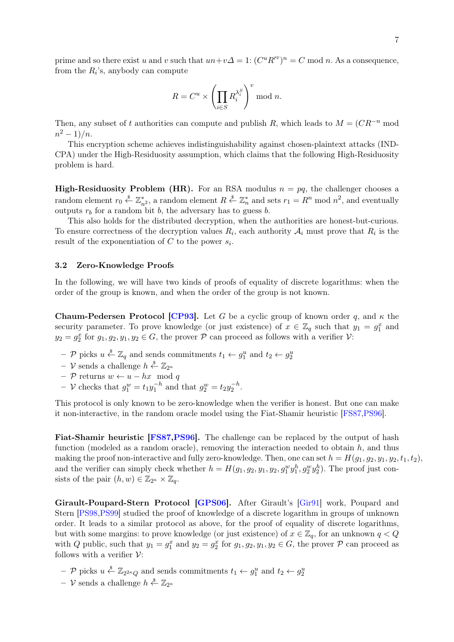prime and so there exist u and v such that  $un+v\Delta = 1$ :  $(C^u R'^v)^n = C$  mod n. As a consequence, from the  $R_i$ 's, anybody can compute

$$
R = C^u \times \left(\prod_{i \in S} R_i^{\lambda_i^S}\right)^v \bmod n.
$$

Then, any subset of t authorities can compute and publish R, which leads to  $M = (CR^{-n} \text{ mod } 1)$  $n^2-1)/n$ .

This encryption scheme achieves indistinguishability against chosen-plaintext attacks (IND-CPA) under the High-Residuosity assumption, which claims that the following High-Residuosity problem is hard.

**High-Residuosity Problem (HR).** For an RSA modulus  $n = pq$ , the challenger chooses a random element  $r_0 \stackrel{s}{\leftarrow} \mathbb{Z}_{n^2}^*$ , a random element  $R \stackrel{s}{\leftarrow} \mathbb{Z}_n^*$  and sets  $r_1 = R^n \bmod n^2$ , and eventually outputs  $r_b$  for a random bit b, the adversary has to guess b.

This also holds for the distributed decryption, when the authorities are honest-but-curious. To ensure correctness of the decryption values  $R_i$ , each authority  $A_i$  must prove that  $R_i$  is the result of the exponentiation of  $C$  to the power  $s_i$ .

### 3.2 Zero-Knowledge Proofs

In the following, we will have two kinds of proofs of equality of discrete logarithms: when the order of the group is known, and when the order of the group is not known.

**Chaum-Pedersen Protocol [\[CP93\]](#page-13-7).** Let G be a cyclic group of known order q, and  $\kappa$  the security parameter. To prove knowledge (or just existence) of  $x \in \mathbb{Z}_q$  such that  $y_1 = g_1^x$  and  $y_2 = g_2^x$  for  $g_1, g_2, y_1, y_2 \in G$ , the prover  $P$  can proceed as follows with a verifier  $V$ :

- $\mathcal{P}$  picks  $u \overset{\$}{\leftarrow} \mathbb{Z}_q$  and sends commitments  $t_1 \leftarrow g_1^u$  and  $t_2 \leftarrow g_2^u$
- $\mathcal V$  sends a challenge  $h \overset{\hspace{0.1em}\mathsf{\scriptscriptstyle\$}}{\leftarrow} \mathbb Z_{2^\kappa}$
- P returns  $w \leftarrow u hx \mod q$
- $-\mathcal{V}$  checks that  $g_1^w = t_1 y_1^{-h}$  and that  $g_2^w = t_2 y_2^{-h}$ .

This protocol is only known to be zero-knowledge when the verifier is honest. But one can make it non-interactive, in the random oracle model using the Fiat-Shamir heuristic [\[FS87,](#page-13-8)[PS96\]](#page-13-9).

Fiat-Shamir heuristic [\[FS87,](#page-13-8) [PS96\]](#page-13-9). The challenge can be replaced by the output of hash function (modeled as a random oracle), removing the interaction needed to obtain  $h$ , and thus making the proof non-interactive and fully zero-knowledge. Then, one can set  $h = H(q_1, q_2, y_1, y_2, t_1, t_2)$ , and the verifier can simply check whether  $h = H(g_1, g_2, y_1, y_2, g_1^w y_1^h, g_2^w y_2^h)$ . The proof just consists of the pair  $(h, w) \in \mathbb{Z}_{2^{k}} \times \mathbb{Z}_{q}$ .

Girault-Poupard-Stern Protocol [\[GPS06\]](#page-13-10). After Girault's [\[Gir91\]](#page-13-11) work, Poupard and Stern [\[PS98](#page-13-12)[,PS99\]](#page-13-13) studied the proof of knowledge of a discrete logarithm in groups of unknown order. It leads to a similar protocol as above, for the proof of equality of discrete logarithms, but with some margins: to prove knowledge (or just existence) of  $x \in \mathbb{Z}_q$ , for an unknown  $q < Q$ with Q public, such that  $y_1 = g_1^x$  and  $y_2 = g_2^x$  for  $g_1, g_2, y_1, y_2 \in G$ , the prover  $P$  can proceed as follows with a verifier  $\mathcal V$ :

–  $\mathcal{P}$  picks  $u \overset{\$}{\leftarrow} \mathbb{Z}_{2^{2\kappa}Q}$  and sends commitments  $t_1 \leftarrow g_1^u$  and  $t_2 \leftarrow g_2^u$ 

–  $\mathcal V$  sends a challenge  $h \overset{\hspace{0.1em}\mathsf{\scriptscriptstyle\$}}{\leftarrow} \mathbb Z_{2^\kappa}$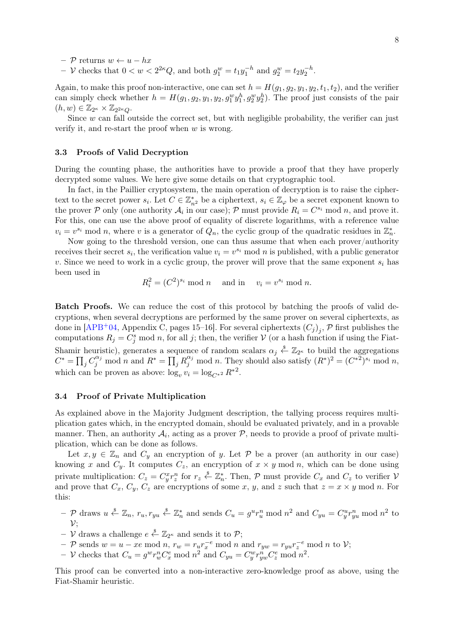- P returns  $w \leftarrow u hx$
- $-V$  checks that  $0 < w < 2^{2k}Q$ , and both  $g_1^w = t_1y_1^{-h}$  and  $g_2^w = t_2y_2^{-h}$ .

Again, to make this proof non-interactive, one can set  $h = H(g_1, g_2, y_1, y_2, t_1, t_2)$ , and the verifier can simply check whether  $h = H(g_1, g_2, y_1, y_2, g_1^w y_1^h, g_2^w y_2^h)$ . The proof just consists of the pair  $(h, w) \in \mathbb{Z}_{2^{\kappa}} \times \mathbb{Z}_{2^{2\kappa}Q}.$ 

Since  $w$  can fall outside the correct set, but with negligible probability, the verifier can just verify it, and re-start the proof when  $w$  is wrong.

### <span id="page-7-0"></span>3.3 Proofs of Valid Decryption

During the counting phase, the authorities have to provide a proof that they have properly decrypted some values. We here give some details on that cryptographic tool.

In fact, in the Paillier cryptosystem, the main operation of decryption is to raise the ciphertext to the secret power  $s_i$ . Let  $C \in \mathbb{Z}_{n^2}^*$  be a ciphertext,  $s_i \in \mathbb{Z}_{\varphi}$  be a secret exponent known to the prover P only (one authority  $\mathcal{A}_i$  in our case); P must provide  $R_i = C^{s_i}$  mod n, and prove it. For this, one can use the above proof of equality of discrete logarithms, with a reference value  $v_i = v^{s_i} \mod n$ , where v is a generator of  $Q_n$ , the cyclic group of the quadratic residues in  $\mathbb{Z}_n^*$ .

Now going to the threshold version, one can thus assume that when each prover/authority receives their secret  $s_i$ , the verification value  $v_i = v^{s_i} \mod n$  is published, with a public generator v. Since we need to work in a cyclic group, the prover will prove that the same exponent  $s_i$  has been used in

$$
R_i^2 = (C^2)^{s_i} \bmod n \quad \text{ and in} \quad v_i = v^{s_i} \bmod n.
$$

Batch Proofs. We can reduce the cost of this protocol by batching the proofs of valid decryptions, when several decryptions are performed by the same prover on several ciphertexts, as done in  $[APB<sup>+</sup>04$  $[APB<sup>+</sup>04$ , Appendix C, pages 15–16]. For several ciphertexts  $(C_j)_j$ , P first publishes the computations  $R_j = C_j^s$  mod n, for all j; then, the verifier V (or a hash function if using the Fiat-Shamir heuristic), generates a sequence of random scalars  $\alpha_j \stackrel{\$}{\leftarrow} \mathbb{Z}_{2^{\kappa}}$  to build the aggregations  $C^* = \prod_j C_j^{\alpha_j} \mod n$  and  $R^* = \prod_j R_j^{\alpha_j} \mod n$ . They should also satisfy  $(R^*)^2 = (C^{*2})^{s_i} \mod n$ , which can be proven as above:  $\log_v v_i = \log_{C^{*2}} R^{*2}$ .

#### 3.4 Proof of Private Multiplication

As explained above in the Majority Judgment description, the tallying process requires multiplication gates which, in the encrypted domain, should be evaluated privately, and in a provable manner. Then, an authority  $A_i$ , acting as a prover  $P$ , needs to provide a proof of private multiplication, which can be done as follows.

Let  $x, y \in \mathbb{Z}_n$  and  $C_y$  an encryption of y. Let P be a prover (an authority in our case) knowing x and  $C_y$ . It computes  $C_z$ , an encryption of  $x \times y$  mod n, which can be done using private multiplication:  $C_z = C_y^x r_z^n$  for  $r_z \stackrel{\$}{\leftarrow} \mathbb{Z}_n^*$ . Then,  $P$  must provide  $C_x$  and  $C_z$  to verifier  $\lambda$ and prove that  $C_x$ ,  $C_y$ ,  $C_z$  are encryptions of some x, y, and z such that  $z = x \times y$  mod n. For this:

- $\mathcal{P}$  draws  $u \stackrel{\$}{\leftarrow} \mathbb{Z}_n$ ,  $r_u, r_{yu} \stackrel{\$}{\leftarrow} \mathbb{Z}_n^*$  and sends  $C_u = g^u r_u^n \bmod n^2$  and  $C_{yu} = C_y^u r_{yu}^n \bmod n^2$  to  $\mathcal{V}$ :
- $\nu$  draws a challenge  $e \stackrel{\hspace{0.1em}\mathsf{\scriptscriptstyle\$}}{\leftarrow} \mathbb{Z}_{2^{\kappa}}$  and sends it to  $\mathcal{P};$
- −  $\mathcal P$  sends  $w = u xe \mod n$ ,  $r_w = r_u r_x^{-e} \mod n$  and  $r_{yw} = r_{yu} r_z^{-e} \mod n$  to  $\mathcal V$ ;
- V checks that  $C_u = g^w r_w^n C_x^e \mod n^2$  and  $C_{yu} = C_y^w r_{yw}^n C_z^e \mod n^2$ .

This proof can be converted into a non-interactive zero-knowledge proof as above, using the Fiat-Shamir heuristic.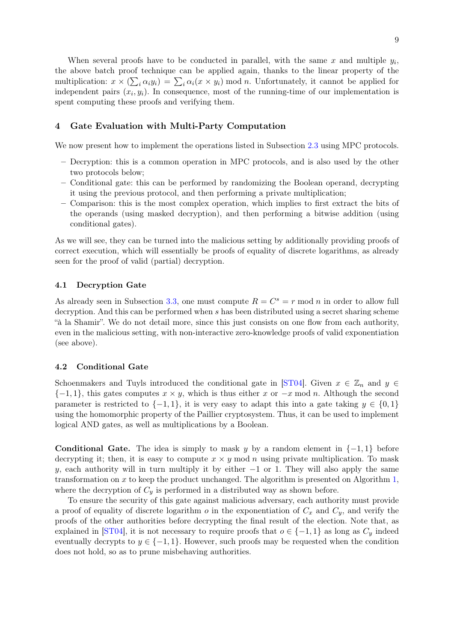When several proofs have to be conducted in parallel, with the same  $x$  and multiple  $y_i$ , the above batch proof technique can be applied again, thanks to the linear property of the multiplication:  $x \times (\sum_i \alpha_i y_i) = \sum_i \alpha_i (x \times y_i)$  mod n. Unfortunately, it cannot be applied for independent pairs  $(x_i, y_i)$ . In consequence, most of the running-time of our implementation is spent computing these proofs and verifying them.

### 4 Gate Evaluation with Multi-Party Computation

We now present how to implement the operations listed in Subsection [2.3](#page-4-0) using MPC protocols.

- Decryption: this is a common operation in MPC protocols, and is also used by the other two protocols below;
- Conditional gate: this can be performed by randomizing the Boolean operand, decrypting it using the previous protocol, and then performing a private multiplication;
- Comparison: this is the most complex operation, which implies to first extract the bits of the operands (using masked decryption), and then performing a bitwise addition (using conditional gates).

As we will see, they can be turned into the malicious setting by additionally providing proofs of correct execution, which will essentially be proofs of equality of discrete logarithms, as already seen for the proof of valid (partial) decryption.

#### <span id="page-8-0"></span>4.1 Decryption Gate

As already seen in Subsection [3.3,](#page-7-0) one must compute  $R = C<sup>s</sup> = r \text{ mod } n$  in order to allow full decryption. And this can be performed when s has been distributed using a secret sharing scheme "à la Shamir". We do not detail more, since this just consists on one flow from each authority, even in the malicious setting, with non-interactive zero-knowledge proofs of valid exponentiation (see above).

### <span id="page-8-1"></span>4.2 Conditional Gate

Schoenmakers and Tuyls introduced the conditional gate in [\[ST04\]](#page-13-15). Given  $x \in \mathbb{Z}_n$  and  $y \in$  ${-1, 1}$ , this gates computes  $x \times y$ , which is thus either x or  $-x \mod n$ . Although the second parameter is restricted to  $\{-1, 1\}$ , it is very easy to adapt this into a gate taking  $y \in \{0, 1\}$ using the homomorphic property of the Paillier cryptosystem. Thus, it can be used to implement logical AND gates, as well as multiplications by a Boolean.

Conditional Gate. The idea is simply to mask y by a random element in  $\{-1,1\}$  before decrypting it; then, it is easy to compute  $x \times y$  mod n using private multiplication. To mask y, each authority will in turn multiply it by either  $-1$  or 1. They will also apply the same transformation on x to keep the product unchanged. The algorithm is presented on Algorithm  $1$ , where the decryption of  $C_y$  is performed in a distributed way as shown before.

To ensure the security of this gate against malicious adversary, each authority must provide a proof of equality of discrete logarithm  $o$  in the exponentiation of  $C_x$  and  $C_y$ , and verify the proofs of the other authorities before decrypting the final result of the election. Note that, as explained in [\[ST04\]](#page-13-15), it is not necessary to require proofs that  $o \in \{-1,1\}$  as long as  $C_y$  indeed eventually decrypts to  $y \in \{-1, 1\}$ . However, such proofs may be requested when the condition does not hold, so as to prune misbehaving authorities.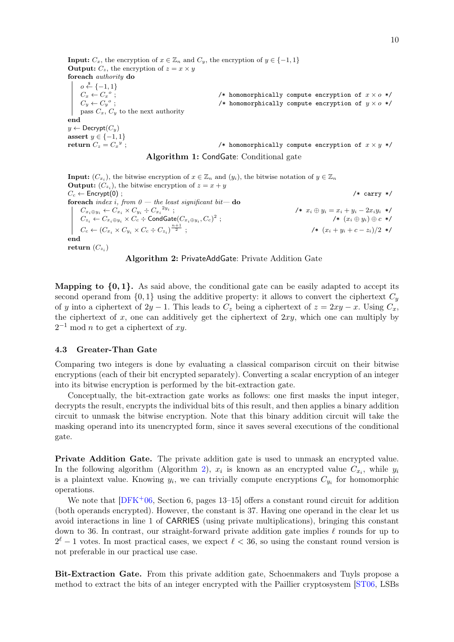**Input:**  $C_x$ , the encryption of  $x \in \mathbb{Z}_n$  and  $C_y$ , the encryption of  $y \in \{-1,1\}$ **Output:**  $C_z$ , the encryption of  $z = x \times y$ foreach authority do  $o \leftarrow \{-1, 1\}$  $C_x \leftarrow C_x^{\circ}$ /\* homomorphically compute encryption of  $x \times o$  \*/  $C_y \leftarrow C_y^o$ /\* homomorphically compute encryption of  $y \times o$  \*/ pass  $C_x$ ,  $C_y$  to the next authority end  $y \leftarrow \mathsf{Decrypt}(C_y)$ assert  $y \in \{-1, 1\}$ return  $C_z = C_x{}^y$ /\* homomorphically compute encryption of  $x \times y$  \*/ Algorithm 1: CondGate: Conditional gate

<span id="page-9-0"></span>**Input:**  $(C_{x_i})$ , the bitwise encryption of  $x \in \mathbb{Z}_n$  and  $(y_i)$ , the bitwise notation of  $y \in \mathbb{Z}_n$ **Output:**  $(C_{z_i})$ , the bitwise encryption of  $z = x + y$  $C_c \leftarrow \text{Encrypt}(0)$ ; /\* carry \*/ foreach index i, from  $0$  — the least significant bit— do  $C_{x_i\oplus y_i} \leftarrow C_{x_i} \times C_{y_i} \div C_{x_i}^{2y_i}$ /\*  $x_i ⊕ y_i = x_i + y_i - 2x_iy_i$  \*/  $C_{z_i} \leftarrow C_{x_i \oplus y_i} \times C_c \div \mathsf{CondGate}(C_{x_i \oplus y_i}, C_c)^2$ /\*  $(x_i \oplus y_i) \oplus c$  \*/  $C_c \leftarrow (C_{x_i} \times C_{y_i} \times C_c \div C_{z_i})^{\frac{n+1}{2}}$  $7 * (x_i + y_i + c - z_i)/2$  \*/ end  $\mathbf{return\ } (C_{z_i})$ 



<span id="page-9-1"></span>**Mapping to**  $\{0, 1\}$ **.** As said above, the conditional gate can be easily adapted to accept its second operand from  $\{0,1\}$  using the additive property: it allows to convert the ciphertext  $C_y$ of y into a ciphertext of  $2y - 1$ . This leads to  $C_z$  being a ciphertext of  $z = 2xy - x$ . Using  $C_x$ , the ciphertext of  $x$ , one can additively get the ciphertext of  $2xy$ , which one can multiply by  $2^{-1}$  mod *n* to get a ciphertext of xy.

### 4.3 Greater-Than Gate

Comparing two integers is done by evaluating a classical comparison circuit on their bitwise encryptions (each of their bit encrypted separately). Converting a scalar encryption of an integer into its bitwise encryption is performed by the bit-extraction gate.

Conceptually, the bit-extraction gate works as follows: one first masks the input integer, decrypts the result, encrypts the individual bits of this result, and then applies a binary addition circuit to unmask the bitwise encryption. Note that this binary addition circuit will take the masking operand into its unencrypted form, since it saves several executions of the conditional gate.

Private Addition Gate. The private addition gate is used to unmask an encrypted value. In the following algorithm (Algorithm [2\)](#page-9-1),  $x_i$  is known as an encrypted value  $C_{x_i}$ , while  $y_i$ is a plaintext value. Knowing  $y_i$ , we can trivially compute encryptions  $C_{y_i}$  for homomorphic operations.

We note that  $[DFK<sup>+</sup>06$  $[DFK<sup>+</sup>06$ , Section 6, pages 13–15] offers a constant round circuit for addition (both operands encrypted). However, the constant is 37. Having one operand in the clear let us avoid interactions in line 1 of CARRIES (using private multiplications), bringing this constant down to 36. In contrast, our straight-forward private addition gate implies  $\ell$  rounds for up to  $2^{\ell} - 1$  votes. In most practical cases, we expect  $\ell < 36$ , so using the constant round version is not preferable in our practical use case.

Bit-Extraction Gate. From this private addition gate, Schoenmakers and Tuyls propose a method to extract the bits of an integer encrypted with the Paillier cryptosystem [\[ST06,](#page-13-17) LSBs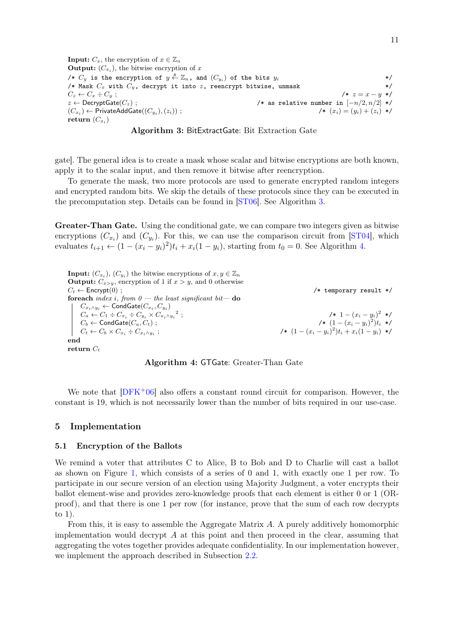**Input:**  $C_x$ , the encryption of  $x \in \mathbb{Z}_n$ **Output:**  $(C_{x_i})$ , the bitwise encryption of x  $\forall * C_y$  is the encryption of  $y \stackrel{s}{\leftarrow} \mathbb{Z}_n$ , and  $(C_{y_i})$  of the bits  $y_i$  \*/ /\* Mask  $C_x$  with  $C_y$ , decrypt it into z, reencrypt bitwise, unmask \*/  $C_z \leftarrow C_x \div C_y ;$  /\*  $z = x - y$  \*/  $z \leftarrow$  DecryptGate $(C_z)$ ;  $\qquad \qquad$  /\* as relative number in  $[-n/2, n/2]$  \*/  $(C_{x_i}) \leftarrow \mathsf{PrivateAddGate}((C_{y_i})$  $/*(x_i)=(y_i)+(z_i)*/$  $\mathbf{return\ } (C_{x_i})$ 

Algorithm 3: BitExtractGate: Bit Extraction Gate

<span id="page-10-0"></span>gate]. The general idea is to create a mask whose scalar and bitwise encryptions are both known, apply it to the scalar input, and then remove it bitwise after reencryption.

To generate the mask, two more protocols are used to generate encrypted random integers and encrypted random bits. We skip the details of these protocols since they can be executed in the precomputation step. Details can be found in [\[ST06\]](#page-13-17). See Algorithm [3.](#page-10-0)

Greater-Than Gate. Using the conditional gate, we can compare two integers given as bitwise encryptions  $(C_{x_i})$  and  $(C_{y_i})$ . For this, we can use the comparison circuit from [\[ST04\]](#page-13-15), which evaluates  $t_{i+1} \leftarrow (1 - (x_i - y_i)^2)t_i + x_i(1 - y_i)$ , starting from  $t_0 = 0$ . See Algorithm [4.](#page-10-1)

**Input:**  $(C_{x_i})$ ,  $(C_{y_i})$  the bitwise encryptions of  $x, y \in \mathbb{Z}_n$ **Output:**  $C_{x>y}$ , encryption of 1 if  $x > y$ , and 0 otherwise C<sup>t</sup> ← Encrypt(0) ; /\* temporary result \*/ foreach index i, from  $0$  — the least significant bit— do  $C_{x_i \wedge y_i} \leftarrow \mathsf{CondGate}(C_{x_i}, C_{y_i})$  $C_a \leftarrow C_1 \div C_{x_i} \div C_{y_i} \times C_{x_i \wedge y_i}^2$ ;  $4x + 1 - (x_i - y_i)^2 * 1$  $C_b \leftarrow \mathsf{CondGate}(C_a, C_t)$ ;  $/*(1-(x_i-y_i)^2)t_i */$  $C_t \leftarrow C_b \times C_{x_i} \div C_{x_i \wedge y_i}$ ; ;  $\qquad \qquad$   $\qquad \qquad$   $(1 - (x_i - y_i)^2)t_i + x_i(1 - y_i) \; *$ end return  $C_t$ 

Algorithm 4: GTGate: Greater-Than Gate

<span id="page-10-1"></span>We note that  $[DFK^+06]$  $[DFK^+06]$  also offers a constant round circuit for comparison. However, the constant is 19, which is not necessarily lower than the number of bits required in our use-case.

### 5 Implementation

### 5.1 Encryption of the Ballots

We remind a voter that attributes C to Alice, B to Bob and D to Charlie will cast a ballot as shown on Figure [1,](#page-1-0) which consists of a series of 0 and 1, with exactly one 1 per row. To participate in our secure version of an election using Majority Judgment, a voter encrypts their ballot element-wise and provides zero-knowledge proofs that each element is either 0 or 1 (ORproof), and that there is one 1 per row (for instance, prove that the sum of each row decrypts to 1).

From this, it is easy to assemble the Aggregate Matrix A. A purely additively homomorphic implementation would decrypt  $A$  at this point and then proceed in the clear, assuming that aggregating the votes together provides adequate confidentiality. In our implementation however, we implement the approach described in Subsection [2.2.](#page-3-1)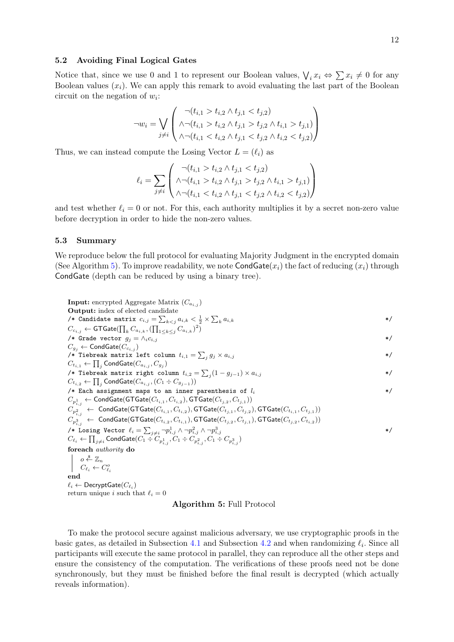#### 5.2 Avoiding Final Logical Gates

Notice that, since we use 0 and 1 to represent our Boolean values,  $\bigvee_i x_i \Leftrightarrow \sum x_i \neq 0$  for any Boolean values  $(x_i)$ . We can apply this remark to avoid evaluating the last part of the Boolean circuit on the negation of  $w_i$ :

$$
\neg w_i = \bigvee_{j \neq i} \left( \begin{array}{c} \neg (t_{i,1} > t_{i,2} \land t_{j,1} < t_{j,2}) \\ \land \neg (t_{i,1} > t_{i,2} \land t_{j,1} > t_{j,2} \land t_{i,1} > t_{j,1}) \\ \land \neg (t_{i,1} < t_{i,2} \land t_{j,1} < t_{j,2} \land t_{i,2} < t_{j,2}) \end{array} \right)
$$

Thus, we can instead compute the Losing Vector  $L = (\ell_i)$  as

$$
\ell_i = \sum_{j \neq i} \begin{pmatrix} \neg(t_{i,1} > t_{i,2} \land t_{j,1} < t_{j,2}) \\ \land \neg(t_{i,1} > t_{i,2} \land t_{j,1} > t_{j,2} \land t_{i,1} > t_{j,1}) \\ \land \neg(t_{i,1} < t_{i,2} \land t_{j,1} < t_{j,2} \land t_{i,2} < t_{j,2}) \end{pmatrix}
$$

and test whether  $\ell_i = 0$  or not. For this, each authority multiplies it by a secret non-zero value before decryption in order to hide the non-zero values.

#### 5.3 Summary

We reproduce below the full protocol for evaluating Majority Judgment in the encrypted domain (See Algorithm [5\)](#page-11-0). To improve readability, we note  $\text{CondGate}(x_i)$  the fact of reducing  $(x_i)$  through CondGate (depth can be reduced by using a binary tree).

```
\nInput: encrypted Aggregate Matrix 
$$
(C_{a_{i,j}})
$$
\nOutput: index of elected candidate\n/* Candidate matrix  $c_{i,j} = \sum_{k < j} a_{i,k} < \frac{1}{2} \times \sum_{k} a_{i,k} < \sum_{l} a_{i,l} < \sum_{l} a_{i,l} < \sum_{l} a_{i,l} < \sum_{l} a_{i,l} < \sum_{l} a_{i,l} < \sum_{l} a_{i,l} < \sum_{l} a_{i,l} < \sum_{l} a_{i,l} < \sum_{l} a_{i,l} < \sum_{l} a_{i,l} < \sum_{l} a_{i,l} < \sum_{l} a_{i,l} < \sum_{l} a_{i,l} < \sum_{l} a_{i,l} < \sum_{l} a_{i,l} < \sum_{l} a_{i,l} < \sum_{l} a_{i,l} < \sum_{l} a_{i,l} < \sum_{l} a_{i,l} < \sum_{l} a_{i,l} < \sum_{l} a_{i,l} < \sum_{l} a_{i,l} < \sum_{l} a_{i,l} < \sum_{l} a_{i,l} < \sum_{l} a_{i,l} < \sum_{l} a_{i,l} < \sum_{l} a_{i,l} < \sum_{l} a_{i,l} < \sum_{l} a_{i,l} < \sum_{l} a_{i,l} < \sum_{l} a_{i,l} < \sum_{l} a_{i,l} < \sum_{l} a_{i,l} < \sum_{l} a_{i,l} < \sum_{l} a_{i,l} < \sum_{l} a_{i,l} < \sum_{l} a_{i,l} < \sum_{l} a_{i,l} < \sum_{l} a_{i,l} < \sum_{l} a_{i,l} < \sum_{l} a_{i,l} < \sum_{l} a_{i,l} < \sum_{l} a_{i,l} < \sum_{l} a_{i,l} < \sum_{l} a_{i,l} < \sum_{l} a_{i,l} < \sum_{l} a_{i,l} < \sum_{l} a_{i,l} < \sum_{l} a_{i,l} < \sum_{l} a_{i,l} < \sum_{l} a_{i,l} < \sum_{l} a_{i,l} < \$ 
```

#### Algorithm 5: Full Protocol

<span id="page-11-0"></span>To make the protocol secure against malicious adversary, we use cryptographic proofs in the basic gates, as detailed in Subsection [4.1](#page-8-0) and Subsection [4.2](#page-8-1) and when randomizing  $\ell_i$ . Since all participants will execute the same protocol in parallel, they can reproduce all the other steps and ensure the consistency of the computation. The verifications of these proofs need not be done synchronously, but they must be finished before the final result is decrypted (which actually reveals information).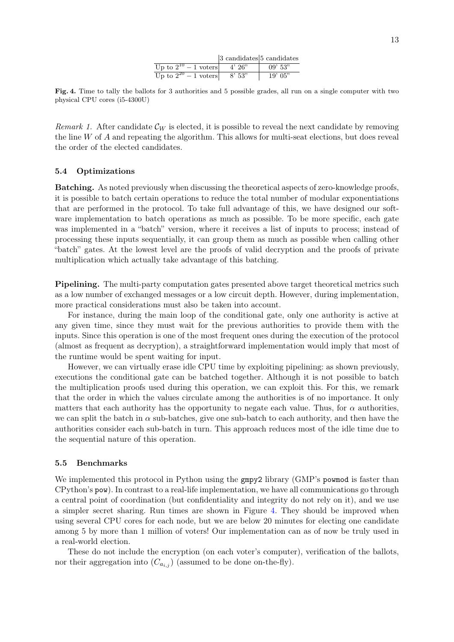| ٠               |
|-----------------|
| . .<br>۰.<br>۰. |

|                                                      |        | $ 3 \text{ candidates} 5 \text{ candidates}$ |
|------------------------------------------------------|--------|----------------------------------------------|
| Up to $2^{10} - 1$ voters                            | 4'26'' | 09'53''                                      |
| $\overline{\text{Up to } 2^{20} - 1 \text{ voters}}$ | 8'53'' | 19'05"                                       |

<span id="page-12-0"></span>Fig. 4. Time to tally the ballots for 3 authorities and 5 possible grades, all run on a single computer with two physical CPU cores (i5-4300U)

Remark 1. After candidate  $\mathcal{C}_W$  is elected, it is possible to reveal the next candidate by removing the line  $W$  of  $A$  and repeating the algorithm. This allows for multi-seat elections, but does reveal the order of the elected candidates.

### 5.4 Optimizations

Batching. As noted previously when discussing the theoretical aspects of zero-knowledge proofs, it is possible to batch certain operations to reduce the total number of modular exponentiations that are performed in the protocol. To take full advantage of this, we have designed our software implementation to batch operations as much as possible. To be more specific, each gate was implemented in a "batch" version, where it receives a list of inputs to process; instead of processing these inputs sequentially, it can group them as much as possible when calling other "batch" gates. At the lowest level are the proofs of valid decryption and the proofs of private multiplication which actually take advantage of this batching.

Pipelining. The multi-party computation gates presented above target theoretical metrics such as a low number of exchanged messages or a low circuit depth. However, during implementation, more practical considerations must also be taken into account.

For instance, during the main loop of the conditional gate, only one authority is active at any given time, since they must wait for the previous authorities to provide them with the inputs. Since this operation is one of the most frequent ones during the execution of the protocol (almost as frequent as decryption), a straightforward implementation would imply that most of the runtime would be spent waiting for input.

However, we can virtually erase idle CPU time by exploiting pipelining: as shown previously, executions the conditional gate can be batched together. Although it is not possible to batch the multiplication proofs used during this operation, we can exploit this. For this, we remark that the order in which the values circulate among the authorities is of no importance. It only matters that each authority has the opportunity to negate each value. Thus, for  $\alpha$  authorities, we can split the batch in  $\alpha$  sub-batches, give one sub-batch to each authority, and then have the authorities consider each sub-batch in turn. This approach reduces most of the idle time due to the sequential nature of this operation.

#### 5.5 Benchmarks

We implemented this protocol in Python using the gmpy2 library (GMP's powmod is faster than CPython's pow). In contrast to a real-life implementation, we have all communications go through a central point of coordination (but confidentiality and integrity do not rely on it), and we use a simpler secret sharing. Run times are shown in Figure [4.](#page-12-0) They should be improved when using several CPU cores for each node, but we are below 20 minutes for electing one candidate among 5 by more than 1 million of voters! Our implementation can as of now be truly used in a real-world election.

These do not include the encryption (on each voter's computer), verification of the ballots, nor their aggregation into  $(C_{a_{i,j}})$  (assumed to be done on-the-fly).